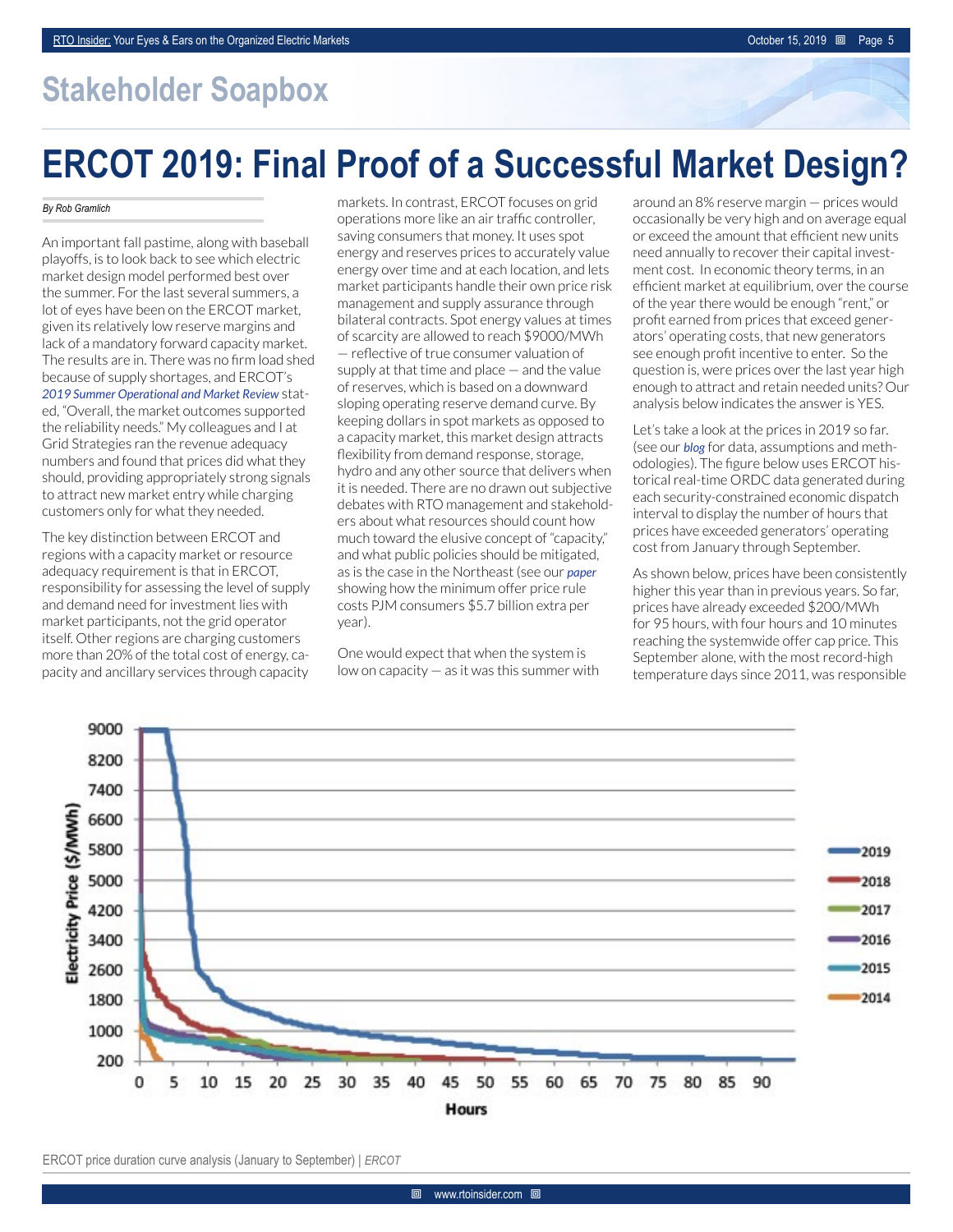## **Stakeholder Soapbox**

## **ERCOT 2019: Final Proof of a Successful Market Design?**

## *By Rob Gramlich*

An important fall pastime, along with baseball playoffs, is to look back to see which electric market design model performed best over the summer. For the last several summers, a lot of eyes have been on the ERCOT market, given its relatively low reserve margins and lack of a mandatory forward capacity market. The results are in. There was no firm load shed because of supply shortages, and ERCOT's *[2019 Summer Operational and Market Review](http://www.ercot.com/content/wcm/key_documents_lists/161478/5.1_Summer_2019_Operational_and_Market_Review.pdf)* stated, "Overall, the market outcomes supported the reliability needs." My colleagues and I at Grid Strategies ran the revenue adequacy numbers and found that prices did what they should, providing appropriately strong signals to attract new market entry while charging customers only for what they needed.

The key distinction between ERCOT and regions with a capacity market or resource adequacy requirement is that in ERCOT, responsibility for assessing the level of supply and demand need for investment lies with market participants, not the grid operator itself. Other regions are charging customers more than 20% of the total cost of energy, capacity and ancillary services through capacity

markets. In contrast, ERCOT focuses on grid operations more like an air traffic controller, saving consumers that money. It uses spot energy and reserves prices to accurately value energy over time and at each location, and lets market participants handle their own price risk management and supply assurance through bilateral contracts. Spot energy values at times of scarcity are allowed to reach \$9000/MWh — reflective of true consumer valuation of supply at that time and place  $-$  and the value of reserves, which is based on a downward sloping operating reserve demand curve. By keeping dollars in spot markets as opposed to a capacity market, this market design attracts flexibility from demand response, storage, hydro and any other source that delivers when it is needed. There are no drawn out subjective debates with RTO management and stakeholders about what resources should count how much toward the elusive concept of "capacity," and what public policies should be mitigated, as is the case in the Northeast (see our *[paper](https://gridprogress.files.wordpress.com/2019/08/consumer-impacts-of-ferc-interference-with-state-policies-an-analysis-of-the-pjm-region.pdf)* showing how the minimum offer price rule costs PJM consumers \$5.7 billion extra per year).

One would expect that when the system is low on capacity — as it was this summer with

around an 8% reserve margin — prices would occasionally be very high and on average equal or exceed the amount that efficient new units need annually to recover their capital investment cost. In economic theory terms, in an efficient market at equilibrium, over the course of the year there would be enough "rent," or profit earned from prices that exceed generators' operating costs, that new generators see enough profit incentive to enter. So the question is, were prices over the last year high enough to attract and retain needed units? Our analysis below indicates the answer is YES.

Let's take a look at the prices in 2019 so far. (see our *[blog](https://gridstrategiesllc.com/2019/10/14/ercot-2019-market-performance-assessment/)* for data, assumptions and methodologies). The figure below uses ERCOT historical real-time ORDC data generated during each security-constrained economic dispatch interval to display the number of hours that prices have exceeded generators' operating cost from January through September.

As shown below, prices have been consistently higher this year than in previous years. So far, prices have already exceeded \$200/MWh for 95 hours, with four hours and 10 minutes reaching the systemwide offer cap price. This September alone, with the most record-high temperature days since 2011, was responsible



ERCOT price duration curve analysis (January to September) | *ERCOT*